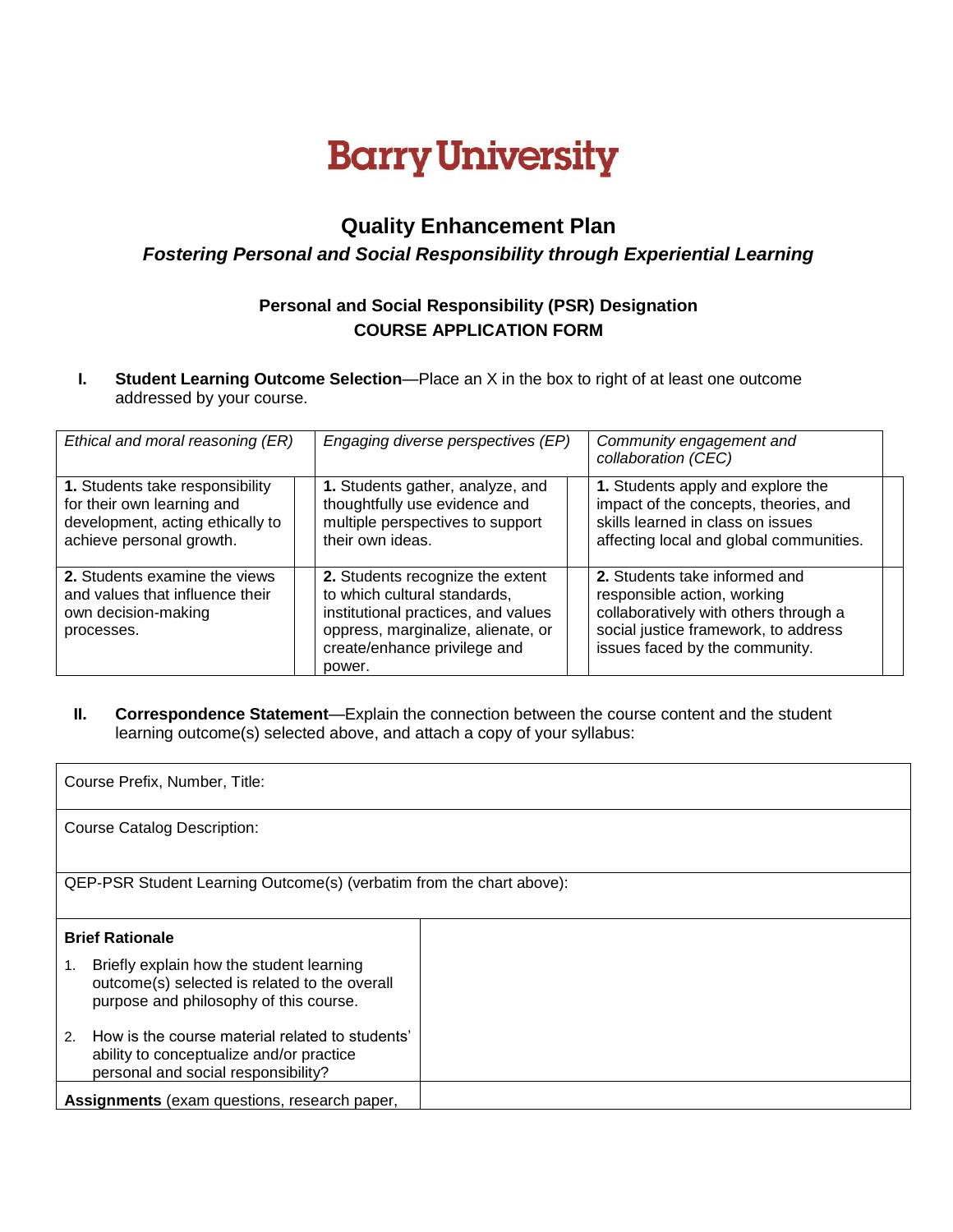## **Barry University**

## **Quality Enhancement Plan**

## *Fostering Personal and Social Responsibility through Experiential Learning*

## **Personal and Social Responsibility (PSR) Designation COURSE APPLICATION FORM**

**I. Student Learning Outcome Selection**—Place an X in the box to right of at least one outcome addressed by your course.

| Ethical and moral reasoning (ER)                                                                                              | Engaging diverse perspectives (EP)                                                                                                                                                      | Community engagement and<br>collaboration (CEC)                                                                                                                                 |
|-------------------------------------------------------------------------------------------------------------------------------|-----------------------------------------------------------------------------------------------------------------------------------------------------------------------------------------|---------------------------------------------------------------------------------------------------------------------------------------------------------------------------------|
| 1. Students take responsibility<br>for their own learning and<br>development, acting ethically to<br>achieve personal growth. | 1. Students gather, analyze, and<br>thoughtfully use evidence and<br>multiple perspectives to support<br>their own ideas.                                                               | 1. Students apply and explore the<br>impact of the concepts, theories, and<br>skills learned in class on issues<br>affecting local and global communities.                      |
| 2. Students examine the views<br>and values that influence their<br>own decision-making<br>processes.                         | 2. Students recognize the extent<br>to which cultural standards,<br>institutional practices, and values<br>oppress, marginalize, alienate, or<br>create/enhance privilege and<br>power. | 2. Students take informed and<br>responsible action, working<br>collaboratively with others through a<br>social justice framework, to address<br>issues faced by the community. |

**II. Correspondence Statement**—Explain the connection between the course content and the student learning outcome(s) selected above, and attach a copy of your syllabus:

| Course Prefix, Number, Title:                                                                                                             |  |  |  |  |
|-------------------------------------------------------------------------------------------------------------------------------------------|--|--|--|--|
| <b>Course Catalog Description:</b>                                                                                                        |  |  |  |  |
| QEP-PSR Student Learning Outcome(s) (verbatim from the chart above):                                                                      |  |  |  |  |
| <b>Brief Rationale</b>                                                                                                                    |  |  |  |  |
| Briefly explain how the student learning<br>1.<br>outcome(s) selected is related to the overall<br>purpose and philosophy of this course. |  |  |  |  |
| How is the course material related to students'<br>2.<br>ability to conceptualize and/or practice<br>personal and social responsibility?  |  |  |  |  |
| Assignments (exam questions, research paper,                                                                                              |  |  |  |  |